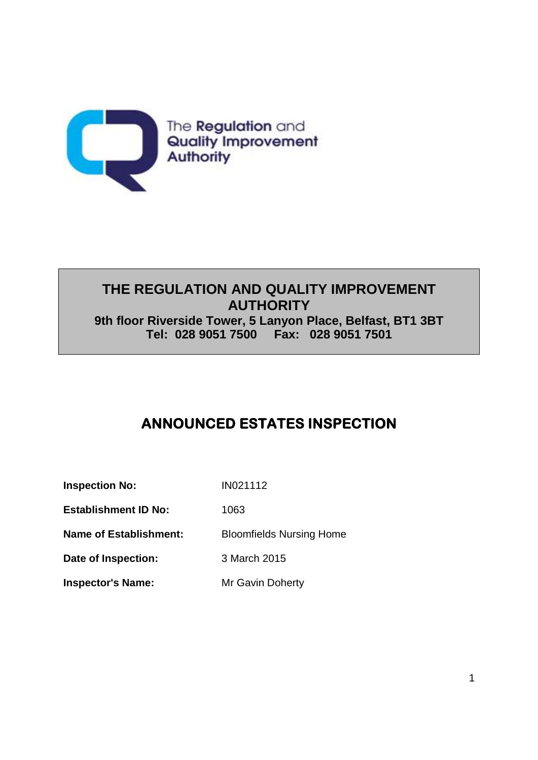

## **THE REGULATION AND QUALITY IMPROVEMENT AUTHORITY 9th floor Riverside Tower, 5 Lanyon Place, Belfast, BT1 3BT Tel: 028 9051 7500 Fax: 028 9051 7501**

# **ANNOUNCED ESTATES INSPECTION**

| <b>Inspection No:</b>         | IN021112                        |
|-------------------------------|---------------------------------|
| <b>Establishment ID No:</b>   | 1063                            |
| <b>Name of Establishment:</b> | <b>Bloomfields Nursing Home</b> |
| Date of Inspection:           | 3 March 2015                    |
| <b>Inspector's Name:</b>      | Mr Gavin Doherty                |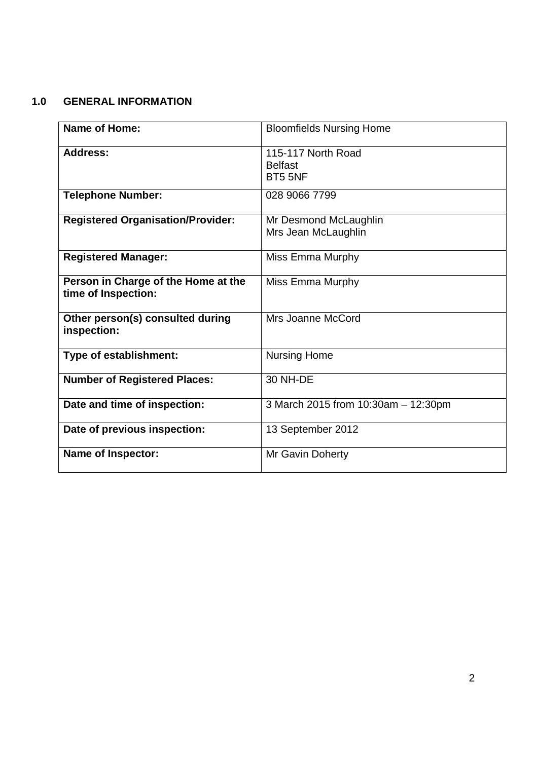## **1.0 GENERAL INFORMATION**

| <b>Name of Home:</b>                                       | <b>Bloomfields Nursing Home</b>                 |
|------------------------------------------------------------|-------------------------------------------------|
| <b>Address:</b>                                            | 115-117 North Road<br><b>Belfast</b><br>BT5 5NF |
| <b>Telephone Number:</b>                                   | 028 9066 7799                                   |
| <b>Registered Organisation/Provider:</b>                   | Mr Desmond McLaughlin<br>Mrs Jean McLaughlin    |
| <b>Registered Manager:</b>                                 | Miss Emma Murphy                                |
| Person in Charge of the Home at the<br>time of Inspection: | Miss Emma Murphy                                |
| Other person(s) consulted during<br>inspection:            | Mrs Joanne McCord                               |
| Type of establishment:                                     | <b>Nursing Home</b>                             |
| <b>Number of Registered Places:</b>                        | <b>30 NH-DE</b>                                 |
| Date and time of inspection:                               | 3 March 2015 from 10:30am - 12:30pm             |
| Date of previous inspection:                               | 13 September 2012                               |
| <b>Name of Inspector:</b>                                  | Mr Gavin Doherty                                |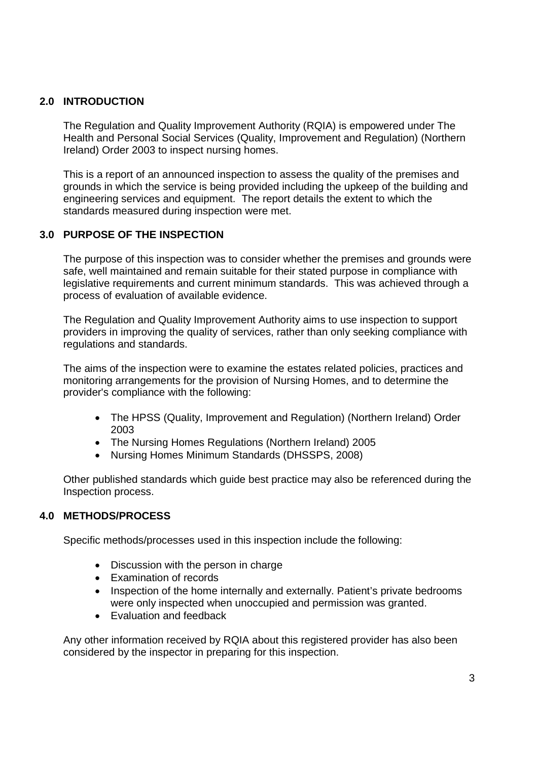### **2.0 INTRODUCTION**

The Regulation and Quality Improvement Authority (RQIA) is empowered under The Health and Personal Social Services (Quality, Improvement and Regulation) (Northern Ireland) Order 2003 to inspect nursing homes.

This is a report of an announced inspection to assess the quality of the premises and grounds in which the service is being provided including the upkeep of the building and engineering services and equipment. The report details the extent to which the standards measured during inspection were met.

### **3.0 PURPOSE OF THE INSPECTION**

The purpose of this inspection was to consider whether the premises and grounds were safe, well maintained and remain suitable for their stated purpose in compliance with legislative requirements and current minimum standards. This was achieved through a process of evaluation of available evidence.

The Regulation and Quality Improvement Authority aims to use inspection to support providers in improving the quality of services, rather than only seeking compliance with regulations and standards.

The aims of the inspection were to examine the estates related policies, practices and monitoring arrangements for the provision of Nursing Homes, and to determine the provider's compliance with the following:

- The HPSS (Quality, Improvement and Regulation) (Northern Ireland) Order 2003
- The Nursing Homes Regulations (Northern Ireland) 2005
- Nursing Homes Minimum Standards (DHSSPS, 2008)

Other published standards which guide best practice may also be referenced during the Inspection process.

### **4.0 METHODS/PROCESS**

Specific methods/processes used in this inspection include the following:

- Discussion with the person in charge
- Examination of records
- Inspection of the home internally and externally. Patient's private bedrooms were only inspected when unoccupied and permission was granted.
- Evaluation and feedback

Any other information received by RQIA about this registered provider has also been considered by the inspector in preparing for this inspection.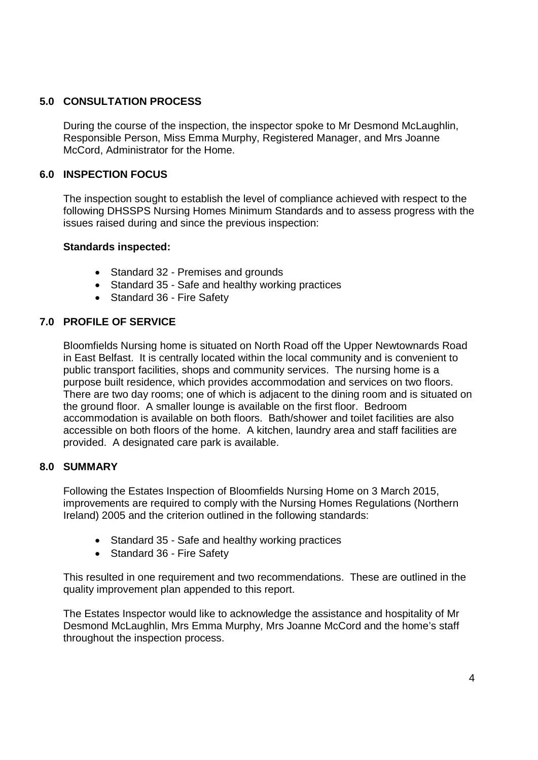### **5.0 CONSULTATION PROCESS**

During the course of the inspection, the inspector spoke to Mr Desmond McLaughlin, Responsible Person, Miss Emma Murphy, Registered Manager, and Mrs Joanne McCord, Administrator for the Home.

### **6.0 INSPECTION FOCUS**

The inspection sought to establish the level of compliance achieved with respect to the following DHSSPS Nursing Homes Minimum Standards and to assess progress with the issues raised during and since the previous inspection:

#### **Standards inspected:**

- Standard 32 Premises and grounds
- Standard 35 Safe and healthy working practices
- Standard 36 Fire Safety

### **7.0 PROFILE OF SERVICE**

Bloomfields Nursing home is situated on North Road off the Upper Newtownards Road in East Belfast. It is centrally located within the local community and is convenient to public transport facilities, shops and community services. The nursing home is a purpose built residence, which provides accommodation and services on two floors. There are two day rooms; one of which is adjacent to the dining room and is situated on the ground floor. A smaller lounge is available on the first floor. Bedroom accommodation is available on both floors. Bath/shower and toilet facilities are also accessible on both floors of the home. A kitchen, laundry area and staff facilities are provided. A designated care park is available.

#### **8.0 SUMMARY**

Following the Estates Inspection of Bloomfields Nursing Home on 3 March 2015, improvements are required to comply with the Nursing Homes Regulations (Northern Ireland) 2005 and the criterion outlined in the following standards:

- Standard 35 Safe and healthy working practices
- Standard 36 Fire Safety

This resulted in one requirement and two recommendations. These are outlined in the quality improvement plan appended to this report.

The Estates Inspector would like to acknowledge the assistance and hospitality of Mr Desmond McLaughlin, Mrs Emma Murphy, Mrs Joanne McCord and the home's staff throughout the inspection process.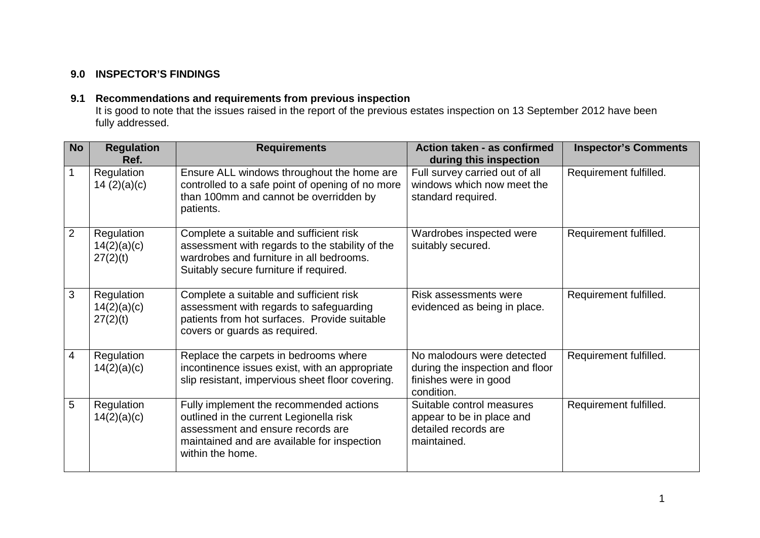## **9.0 INSPECTOR'S FINDINGS**

### **9.1 Recommendations and requirements from previous inspection**

It is good to note that the issues raised in the report of the previous estates inspection on 13 September 2012 have been fully addressed.

| <b>No</b>      | <b>Regulation</b><br>Ref.             | <b>Requirements</b>                                                                                                                                                                        | Action taken - as confirmed<br>during this inspection                                                | <b>Inspector's Comments</b> |  |
|----------------|---------------------------------------|--------------------------------------------------------------------------------------------------------------------------------------------------------------------------------------------|------------------------------------------------------------------------------------------------------|-----------------------------|--|
| $\overline{1}$ | Regulation<br>14 $(2)(a)(c)$          | Ensure ALL windows throughout the home are<br>controlled to a safe point of opening of no more<br>than 100mm and cannot be overridden by<br>patients.                                      | Full survey carried out of all<br>windows which now meet the<br>standard required.                   | Requirement fulfilled.      |  |
| $\overline{2}$ | Regulation<br>14(2)(a)(c)<br>27(2)(t) | Complete a suitable and sufficient risk<br>assessment with regards to the stability of the<br>wardrobes and furniture in all bedrooms.<br>Suitably secure furniture if required.           | Wardrobes inspected were<br>suitably secured.                                                        | Requirement fulfilled.      |  |
| $\mathbf{3}$   | Regulation<br>14(2)(a)(c)<br>27(2)(t) | Complete a suitable and sufficient risk<br>assessment with regards to safeguarding<br>patients from hot surfaces. Provide suitable<br>covers or guards as required.                        | Risk assessments were<br>evidenced as being in place.                                                | Requirement fulfilled.      |  |
| $\overline{4}$ | Regulation<br>14(2)(a)(c)             | Replace the carpets in bedrooms where<br>incontinence issues exist, with an appropriate<br>slip resistant, impervious sheet floor covering.                                                | No malodours were detected<br>during the inspection and floor<br>finishes were in good<br>condition. | Requirement fulfilled.      |  |
| 5              | Regulation<br>14(2)(a)(c)             | Fully implement the recommended actions<br>outlined in the current Legionella risk<br>assessment and ensure records are<br>maintained and are available for inspection<br>within the home. | Suitable control measures<br>appear to be in place and<br>detailed records are<br>maintained.        | Requirement fulfilled.      |  |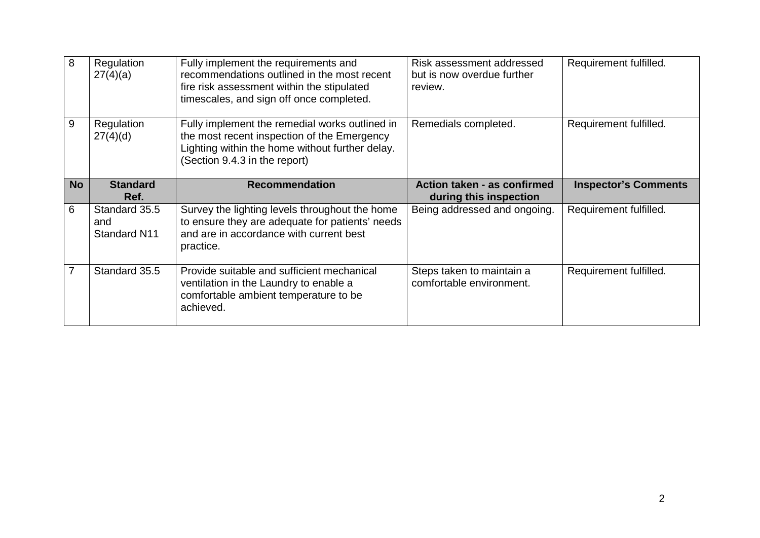| 8         | Regulation<br>27(4)(a)               | Fully implement the requirements and<br>recommendations outlined in the most recent<br>fire risk assessment within the stipulated<br>timescales, and sign off once completed.     | Risk assessment addressed<br>but is now overdue further<br>review. | Requirement fulfilled.      |  |
|-----------|--------------------------------------|-----------------------------------------------------------------------------------------------------------------------------------------------------------------------------------|--------------------------------------------------------------------|-----------------------------|--|
| 9         | Regulation<br>27(4)(d)               | Fully implement the remedial works outlined in<br>the most recent inspection of the Emergency<br>Lighting within the home without further delay.<br>(Section 9.4.3 in the report) | Remedials completed.                                               | Requirement fulfilled.      |  |
| <b>No</b> | <b>Standard</b>                      | <b>Recommendation</b>                                                                                                                                                             | Action taken - as confirmed                                        | <b>Inspector's Comments</b> |  |
|           | Ref.                                 |                                                                                                                                                                                   | during this inspection                                             |                             |  |
| 6         | Standard 35.5<br>and<br>Standard N11 | Survey the lighting levels throughout the home<br>to ensure they are adequate for patients' needs<br>and are in accordance with current best<br>practice.                         | Being addressed and ongoing.                                       | Requirement fulfilled.      |  |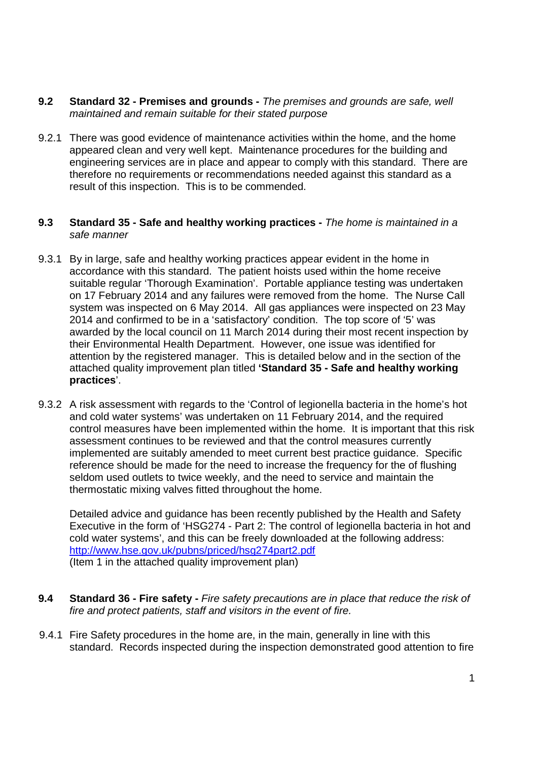- **9.2 Standard 32 Premises and grounds -** *The premises and grounds are safe, well maintained and remain suitable for their stated purpose*
- 9.2.1 There was good evidence of maintenance activities within the home, and the home appeared clean and very well kept. Maintenance procedures for the building and engineering services are in place and appear to comply with this standard. There are therefore no requirements or recommendations needed against this standard as a result of this inspection. This is to be commended.

#### **9.3 Standard 35 - Safe and healthy working practices -** *The home is maintained in a safe manner*

- 9.3.1 By in large, safe and healthy working practices appear evident in the home in accordance with this standard. The patient hoists used within the home receive suitable regular 'Thorough Examination'. Portable appliance testing was undertaken on 17 February 2014 and any failures were removed from the home. The Nurse Call system was inspected on 6 May 2014. All gas appliances were inspected on 23 May 2014 and confirmed to be in a 'satisfactory' condition. The top score of '5' was awarded by the local council on 11 March 2014 during their most recent inspection by their Environmental Health Department. However, one issue was identified for attention by the registered manager. This is detailed below and in the section of the attached quality improvement plan titled **'Standard 35 - Safe and healthy working practices**'.
- 9.3.2 A risk assessment with regards to the 'Control of legionella bacteria in the home's hot and cold water systems' was undertaken on 11 February 2014, and the required control measures have been implemented within the home. It is important that this risk assessment continues to be reviewed and that the control measures currently implemented are suitably amended to meet current best practice guidance. Specific reference should be made for the need to increase the frequency for the of flushing seldom used outlets to twice weekly, and the need to service and maintain the thermostatic mixing valves fitted throughout the home.

Detailed advice and guidance has been recently published by the Health and Safety Executive in the form of 'HSG274 - Part 2: The control of legionella bacteria in hot and cold water systems', and this can be freely downloaded at the following address: http://www.hse.gov.uk/pubns/priced/hsg274part2.pdf (Item 1 in the attached quality improvement plan)

- **9.4 Standard 36 Fire safety -** *Fire safety precautions are in place that reduce the risk of fire and protect patients, staff and visitors in the event of fire.*
- 9.4.1 Fire Safety procedures in the home are, in the main, generally in line with this standard. Records inspected during the inspection demonstrated good attention to fire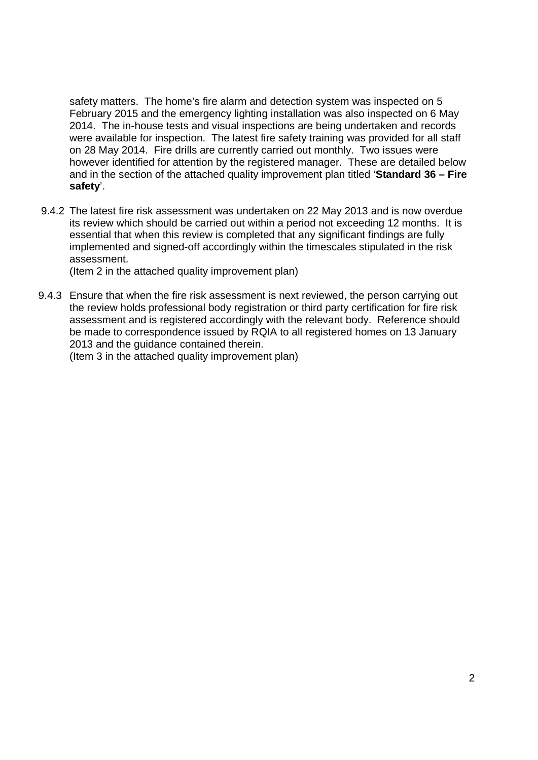safety matters. The home's fire alarm and detection system was inspected on 5 February 2015 and the emergency lighting installation was also inspected on 6 May 2014. The in-house tests and visual inspections are being undertaken and records were available for inspection. The latest fire safety training was provided for all staff on 28 May 2014. Fire drills are currently carried out monthly. Two issues were however identified for attention by the registered manager. These are detailed below and in the section of the attached quality improvement plan titled '**Standard 36 – Fire safety**'.

9.4.2 The latest fire risk assessment was undertaken on 22 May 2013 and is now overdue its review which should be carried out within a period not exceeding 12 months. It is essential that when this review is completed that any significant findings are fully implemented and signed-off accordingly within the timescales stipulated in the risk assessment.

(Item 2 in the attached quality improvement plan)

9.4.3 Ensure that when the fire risk assessment is next reviewed, the person carrying out the review holds professional body registration or third party certification for fire risk assessment and is registered accordingly with the relevant body. Reference should be made to correspondence issued by RQIA to all registered homes on 13 January 2013 and the guidance contained therein.

(Item 3 in the attached quality improvement plan)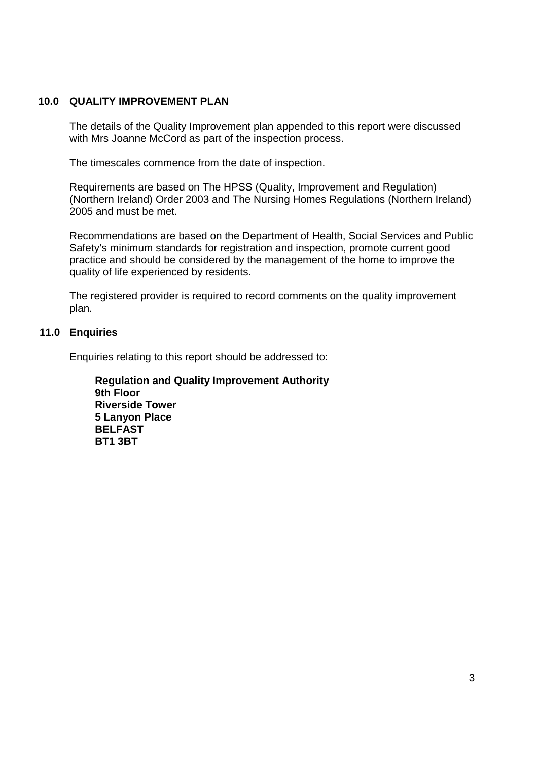#### **10.0 QUALITY IMPROVEMENT PLAN**

The details of the Quality Improvement plan appended to this report were discussed with Mrs Joanne McCord as part of the inspection process.

The timescales commence from the date of inspection.

Requirements are based on The HPSS (Quality, Improvement and Regulation) (Northern Ireland) Order 2003 and The Nursing Homes Regulations (Northern Ireland) 2005 and must be met.

Recommendations are based on the Department of Health, Social Services and Public Safety's minimum standards for registration and inspection, promote current good practice and should be considered by the management of the home to improve the quality of life experienced by residents.

The registered provider is required to record comments on the quality improvement plan.

#### **11.0 Enquiries**

Enquiries relating to this report should be addressed to:

**Regulation and Quality Improvement Authority 9th Floor Riverside Tower 5 Lanyon Place BELFAST BT1 3BT**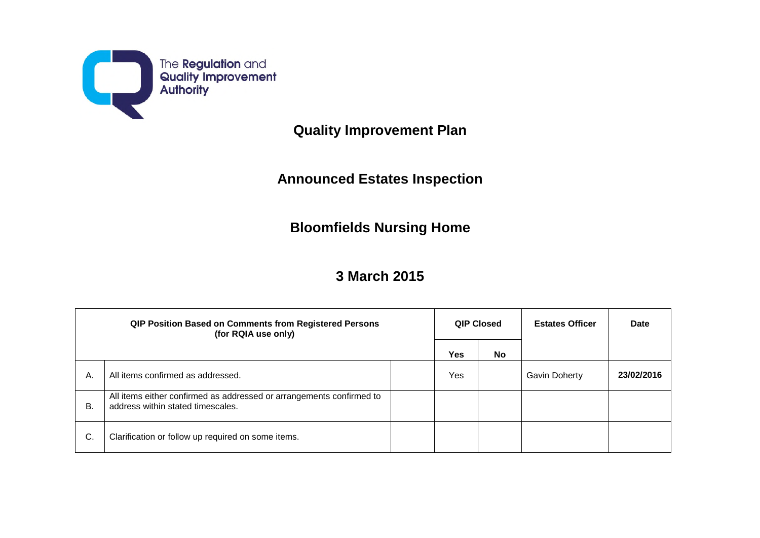

**Quality Improvement Plan**

## **Announced Estates Inspection**

## **Bloomfields Nursing Home**

## **3 March 2015**

| QIP Position Based on Comments from Registered Persons<br>(for RQIA use only) |                                                                                                           | QIP Closed |            | <b>Estates Officer</b> | Date          |            |
|-------------------------------------------------------------------------------|-----------------------------------------------------------------------------------------------------------|------------|------------|------------------------|---------------|------------|
|                                                                               |                                                                                                           |            | <b>Yes</b> | <b>No</b>              |               |            |
| А.                                                                            | All items confirmed as addressed.                                                                         |            | Yes        |                        | Gavin Doherty | 23/02/2016 |
| В.                                                                            | All items either confirmed as addressed or arrangements confirmed to<br>address within stated timescales. |            |            |                        |               |            |
| C.                                                                            | Clarification or follow up required on some items.                                                        |            |            |                        |               |            |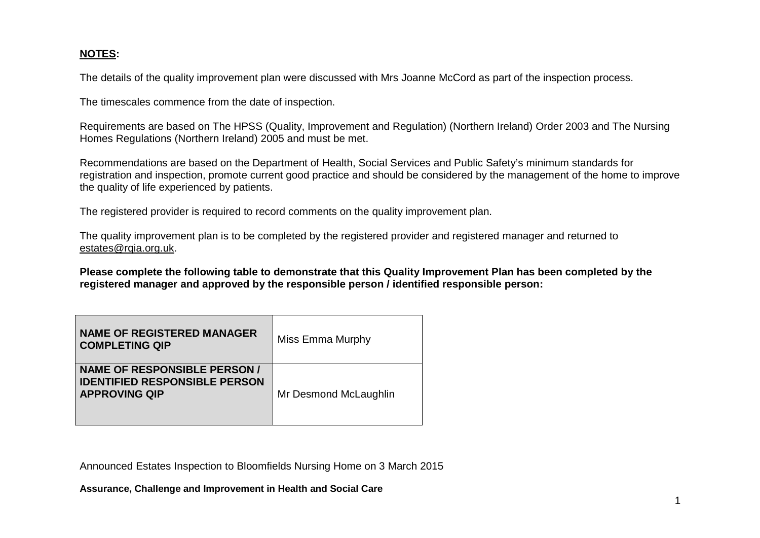### **NOTES:**

The details of the quality improvement plan were discussed with Mrs Joanne McCord as part of the inspection process.

The timescales commence from the date of inspection.

Requirements are based on The HPSS (Quality, Improvement and Regulation) (Northern Ireland) Order 2003 and The Nursing Homes Regulations (Northern Ireland) 2005 and must be met.

Recommendations are based on the Department of Health, Social Services and Public Safety's minimum standards for registration and inspection, promote current good practice and should be considered by the management of the home to improve the quality of life experienced by patients.

The registered provider is required to record comments on the quality improvement plan.

The quality improvement plan is to be completed by the registered provider and registered manager and returned to estates@rqia.org.uk.

**Please complete the following table to demonstrate that this Quality Improvement Plan has been completed by the registered manager and approved by the responsible person / identified responsible person:**

| <b>NAME OF REGISTERED MANAGER</b><br><b>COMPLETING QIP</b>                                          | Miss Emma Murphy      |
|-----------------------------------------------------------------------------------------------------|-----------------------|
| <b>NAME OF RESPONSIBLE PERSON /</b><br><b>IDENTIFIED RESPONSIBLE PERSON</b><br><b>APPROVING QIP</b> | Mr Desmond McLaughlin |

Announced Estates Inspection to Bloomfields Nursing Home on 3 March 2015

**Assurance, Challenge and Improvement in Health and Social Care**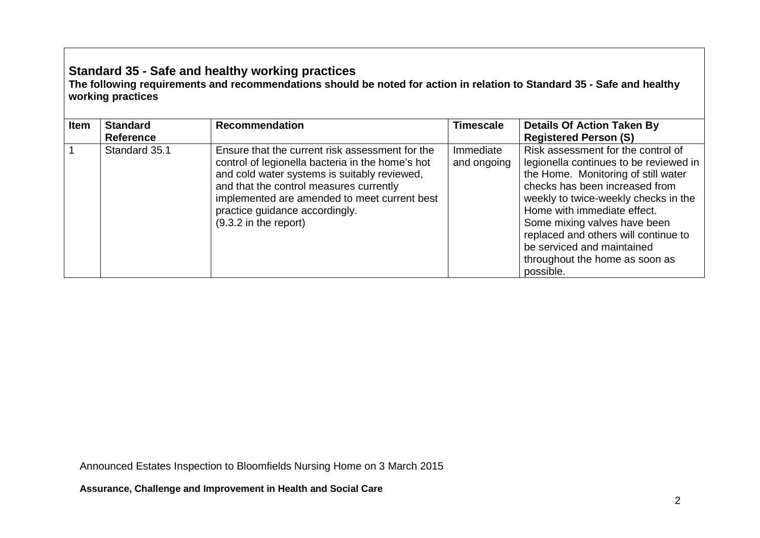## **Standard 35 - Safe and healthy working practices**

**The following requirements and recommendations should be noted for action in relation to Standard 35 - Safe and healthy working practices**

| <b>Item</b> | <b>Standard</b><br><b>Reference</b> | <b>Recommendation</b>                                                                                                                                                                                                                                                                                       | Timescale                | <b>Details Of Action Taken By</b><br><b>Registered Person (S)</b>                                                                                                                                                                                                                                                                                                                 |
|-------------|-------------------------------------|-------------------------------------------------------------------------------------------------------------------------------------------------------------------------------------------------------------------------------------------------------------------------------------------------------------|--------------------------|-----------------------------------------------------------------------------------------------------------------------------------------------------------------------------------------------------------------------------------------------------------------------------------------------------------------------------------------------------------------------------------|
|             | Standard 35.1                       | Ensure that the current risk assessment for the<br>control of legionella bacteria in the home's hot<br>and cold water systems is suitably reviewed,<br>and that the control measures currently<br>implemented are amended to meet current best<br>practice guidance accordingly.<br>$(9.3.2$ in the report) | Immediate<br>and ongoing | Risk assessment for the control of<br>legionella continues to be reviewed in<br>the Home. Monitoring of still water<br>checks has been increased from<br>weekly to twice-weekly checks in the<br>Home with immediate effect.<br>Some mixing valves have been<br>replaced and others will continue to<br>be serviced and maintained<br>throughout the home as soon as<br>possible. |

Announced Estates Inspection to Bloomfields Nursing Home on 3 March 2015